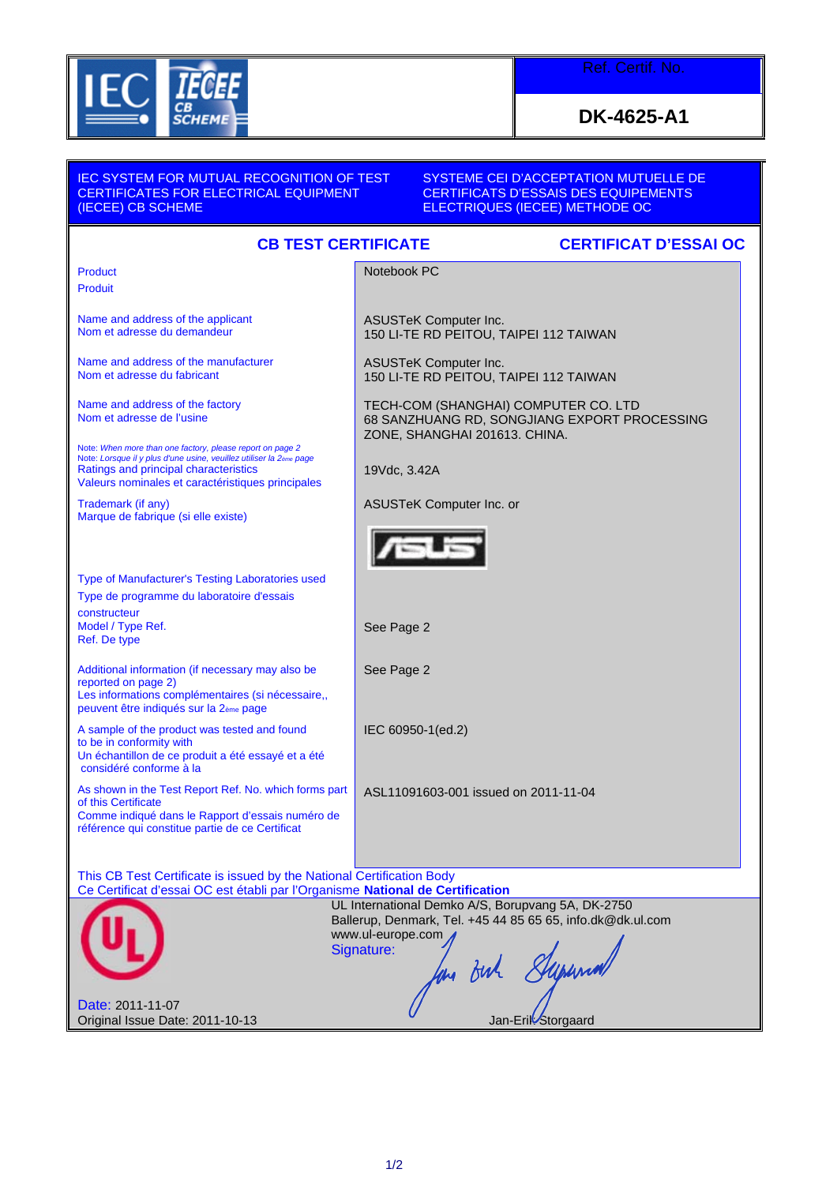

Ref. Certif. No.

**DK-4625-A1**

| <b>IEC SYSTEM FOR MUTUAL RECOGNITION OF TEST</b><br>CERTIFICATES FOR ELECTRICAL EQUIPMENT<br>(IECEE) CB SCHEME                                                                                                                             | SYSTEME CEI D'ACCEPTATION MUTUELLE DE<br><b>CERTIFICATS D'ESSAIS DES EQUIPEMENTS</b><br>ELECTRIQUES (IECEE) METHODE OC |
|--------------------------------------------------------------------------------------------------------------------------------------------------------------------------------------------------------------------------------------------|------------------------------------------------------------------------------------------------------------------------|
| <b>CB TEST CERTIFICATE</b><br><b>CERTIFICAT D'ESSAI OC</b>                                                                                                                                                                                 |                                                                                                                        |
| <b>Product</b><br><b>Produit</b>                                                                                                                                                                                                           | Notebook PC                                                                                                            |
| Name and address of the applicant<br>Nom et adresse du demandeur                                                                                                                                                                           | <b>ASUSTeK Computer Inc.</b><br>150 LI-TE RD PEITOU, TAIPEI 112 TAIWAN                                                 |
| Name and address of the manufacturer<br>Nom et adresse du fabricant                                                                                                                                                                        | <b>ASUSTeK Computer Inc.</b><br>150 LI-TE RD PEITOU, TAIPEI 112 TAIWAN                                                 |
| Name and address of the factory<br>Nom et adresse de l'usine                                                                                                                                                                               | TECH-COM (SHANGHAI) COMPUTER CO. LTD<br>68 SANZHUANG RD, SONGJIANG EXPORT PROCESSING<br>ZONE, SHANGHAI 201613. CHINA.  |
| Note: When more than one factory, please report on page 2<br>Note: Lorsque il y plus d'une usine, veuillez utiliser la 2 <sub>ème</sub> page<br>Ratings and principal characteristics<br>Valeurs nominales et caractéristiques principales | 19Vdc, 3.42A                                                                                                           |
| Trademark (if any)<br>Marque de fabrique (si elle existe)                                                                                                                                                                                  | <b>ASUSTeK Computer Inc. or</b>                                                                                        |
|                                                                                                                                                                                                                                            |                                                                                                                        |
| Type of Manufacturer's Testing Laboratories used<br>Type de programme du laboratoire d'essais                                                                                                                                              |                                                                                                                        |
| constructeur<br>Model / Type Ref.<br>Ref. De type                                                                                                                                                                                          | See Page 2                                                                                                             |
| Additional information (if necessary may also be<br>reported on page 2)<br>Les informations complémentaires (si nécessaire,,<br>peuvent être indiqués sur la 2ème page                                                                     | See Page 2                                                                                                             |
| A sample of the product was tested and found<br>to be in conformity with<br>Un échantillon de ce produit a été essayé et a été<br>considéré conforme à la                                                                                  | IEC 60950-1(ed.2)                                                                                                      |
| As shown in the Test Report Ref. No. which forms part<br>of this Certificate<br>Comme indiqué dans le Rapport d'essais numéro de<br>référence qui constitue partie de ce Certificat                                                        | ASL11091603-001 issued on 2011-11-04                                                                                   |
| This CB Test Certificate is issued by the National Certification Body<br>Ce Certificat d'essai OC est établi par l'Organisme National de Certification                                                                                     |                                                                                                                        |
| UL International Demko A/S, Borupvang 5A, DK-2750<br>Ballerup, Denmark, Tel. +45 44 85 65 65, info.dk@dk.ul.com<br>www.ul-europe.com<br>Signature:<br>for out Superior                                                                     |                                                                                                                        |
| Date: 2011-11-07<br>Original Issue Date: 2011-10-13                                                                                                                                                                                        | Jan-Erik Storgaard                                                                                                     |